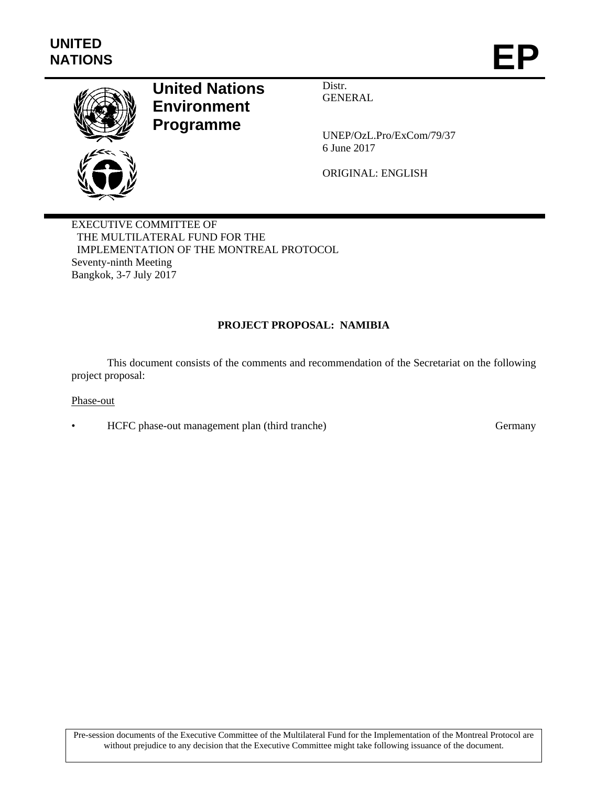

# **United Nations Environment Programme**

Distr. GENERAL

UNEP/OzL.Pro/ExCom/79/37 6 June 2017

ORIGINAL: ENGLISH

EXECUTIVE COMMITTEE OF THE MULTILATERAL FUND FOR THE IMPLEMENTATION OF THE MONTREAL PROTOCOL Seventy-ninth Meeting Bangkok, 3-7 July 2017

# **PROJECT PROPOSAL: NAMIBIA**

This document consists of the comments and recommendation of the Secretariat on the following project proposal:

Phase-out

• HCFC phase-out management plan (third tranche) Germany

Pre-session documents of the Executive Committee of the Multilateral Fund for the Implementation of the Montreal Protocol are without prejudice to any decision that the Executive Committee might take following issuance of the document.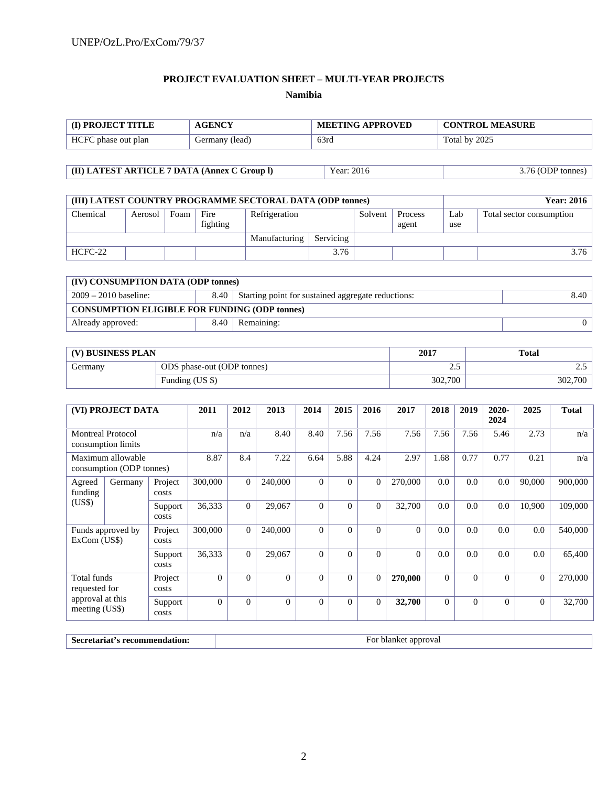## **PROJECT EVALUATION SHEET – MULTI-YEAR PROJECTS Namibia**

| <b>(I) PROJECT TITLE</b> | <b>AGENCY</b>  | <b>MEETING APPROVED</b> | <b>CONTROL MEASURE</b> |
|--------------------------|----------------|-------------------------|------------------------|
| HCFC phase out plan      | Germany (lead) | 63rd                    | Total by 2025          |

**(II) LATEST ARTICLE 7 DATA (Annex C Group l)** Year: 2016 3.76 (ODP tonnes)

| (III) LATEST COUNTRY PROGRAMME SECTORAL DATA (ODP tonnes) |         |      |                  |               |           |         |                  |            | <b>Year: 2016</b>        |
|-----------------------------------------------------------|---------|------|------------------|---------------|-----------|---------|------------------|------------|--------------------------|
| Chemical                                                  | Aerosol | Foam | Fire<br>fighting | Refrigeration |           | Solvent | Process<br>agent | Lab<br>use | Total sector consumption |
|                                                           |         |      |                  | Manufacturing | Servicing |         |                  |            |                          |
| HCFC-22                                                   |         |      |                  |               | 3.76      |         |                  |            | 3.76                     |

| (IV) CONSUMPTION DATA (ODP tonnes)                                                            |      |            |  |  |  |  |  |
|-----------------------------------------------------------------------------------------------|------|------------|--|--|--|--|--|
| 8.40<br>$2009 - 2010$ baseline:<br>Starting point for sustained aggregate reductions:<br>8.40 |      |            |  |  |  |  |  |
| <b>CONSUMPTION ELIGIBLE FOR FUNDING (ODP tonnes)</b>                                          |      |            |  |  |  |  |  |
| Already approved:                                                                             | 8.40 | Remaining: |  |  |  |  |  |

| (V) BUSINESS PLAN |                            | 2017    | <b>Total</b> |
|-------------------|----------------------------|---------|--------------|
| Germany           | ODS phase-out (ODP tonnes) | ت ک     | ن. ت         |
|                   | Funding (US \$)            | 302,700 | 302,700      |

| (VI) PROJECT DATA                              |         | 2011             | 2012     | 2013     | 2014     | 2015           | 2016     | 2017           | 2018     | 2019           | $2020 -$<br>2024 | 2025     | <b>Total</b>   |         |
|------------------------------------------------|---------|------------------|----------|----------|----------|----------------|----------|----------------|----------|----------------|------------------|----------|----------------|---------|
| <b>Montreal Protocol</b><br>consumption limits |         | n/a              | n/a      | 8.40     | 8.40     | 7.56           | 7.56     | 7.56           | 7.56     | 7.56           | 5.46             | 2.73     | n/a            |         |
| Maximum allowable<br>consumption (ODP tonnes)  |         | 8.87             | 8.4      | 7.22     | 6.64     | 5.88           | 4.24     | 2.97           | 1.68     | 0.77           | 0.77             | 0.21     | n/a            |         |
| Agreed<br>funding                              | Germany | Project<br>costs | 300,000  | $\Omega$ | 240,000  | $\Omega$       | $\Omega$ | $\overline{0}$ | 270,000  | 0.0            | 0.0              | 0.0      | 90,000         | 900,000 |
| (US\$)                                         |         | Support<br>costs | 36,333   | $\Omega$ | 29,067   | $\Omega$       | $\Omega$ | $\Omega$       | 32,700   | 0.0            | 0.0              | 0.0      | 10,900         | 109,000 |
| Funds approved by<br>ExCom (US\$)              |         | Project<br>costs | 300,000  | $\Omega$ | 240,000  | $\Omega$       | $\Omega$ | $\Omega$       | $\Omega$ | 0.0            | 0.0              | 0.0      | 0.0            | 540,000 |
|                                                |         | Support<br>costs | 36,333   | $\Omega$ | 29,067   | $\Omega$       | $\Omega$ | $\Omega$       | $\Omega$ | 0.0            | 0.0              | 0.0      | 0.0            | 65,400  |
| Total funds<br>requested for                   |         | Project<br>costs | $\Omega$ | $\Omega$ | $\Omega$ | $\Omega$       | $\Omega$ | $\overline{0}$ | 270,000  | $\overline{0}$ | $\overline{0}$   | $\Omega$ | $\overline{0}$ | 270,000 |
| approval at this<br>meeting (US\$)             |         | Support<br>costs | $\Omega$ | $\Omega$ | $\Omega$ | $\overline{0}$ | $\Omega$ | $\overline{0}$ | 32,700   | $\overline{0}$ | $\overline{0}$   | $\Omega$ | $\overline{0}$ | 32,700  |

**Secretariat's recommendation:** For blanket approval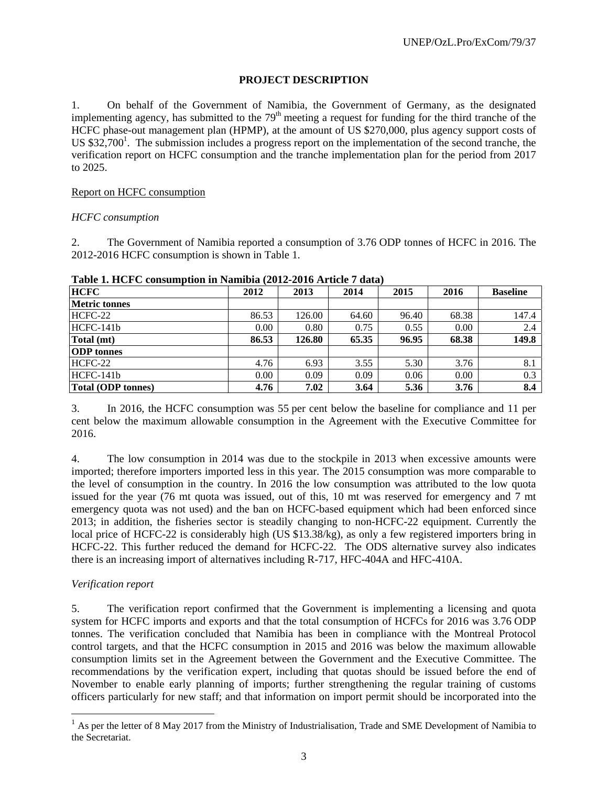## **PROJECT DESCRIPTION**

1. On behalf of the Government of Namibia, the Government of Germany, as the designated implementing agency, has submitted to the  $79<sup>th</sup>$  meeting a request for funding for the third tranche of the HCFC phase-out management plan (HPMP), at the amount of US \$270,000, plus agency support costs of US  $$32,700<sup>1</sup>$ . The submission includes a progress report on the implementation of the second tranche, the verification report on HCFC consumption and the tranche implementation plan for the period from 2017 to 2025.

## Report on HCFC consumption

#### *HCFC consumption*

2. The Government of Namibia reported a consumption of 3.76 ODP tonnes of HCFC in 2016. The 2012-2016 HCFC consumption is shown in Table 1.

| <b>HCFC</b>               | 2012  | 2013   | 2014  | 2015  | 2016  | <b>Baseline</b> |
|---------------------------|-------|--------|-------|-------|-------|-----------------|
| <b>Metric tonnes</b>      |       |        |       |       |       |                 |
| $HCFC-22$                 | 86.53 | 126.00 | 64.60 | 96.40 | 68.38 | 147.4           |
| $HCFC-141b$               | 0.00  | 0.80   | 0.75  | 0.55  | 0.00  | 2.4             |
| Total (mt)                | 86.53 | 126.80 | 65.35 | 96.95 | 68.38 | 149.8           |
| <b>ODP</b> tonnes         |       |        |       |       |       |                 |
| $HCFC-22$                 | 4.76  | 6.93   | 3.55  | 5.30  | 3.76  | 8.1             |
| $HCFC-141b$               | 0.00  | 0.09   | 0.09  | 0.06  | 0.00  | 0.3             |
| <b>Total (ODP tonnes)</b> | 4.76  | 7.02   | 3.64  | 5.36  | 3.76  | 8.4             |

#### **Table 1. HCFC consumption in Namibia (2012-2016 Article 7 data)**

3. In 2016, the HCFC consumption was 55 per cent below the baseline for compliance and 11 per cent below the maximum allowable consumption in the Agreement with the Executive Committee for 2016.

4. The low consumption in 2014 was due to the stockpile in 2013 when excessive amounts were imported; therefore importers imported less in this year. The 2015 consumption was more comparable to the level of consumption in the country. In 2016 the low consumption was attributed to the low quota issued for the year (76 mt quota was issued, out of this, 10 mt was reserved for emergency and 7 mt emergency quota was not used) and the ban on HCFC-based equipment which had been enforced since 2013; in addition, the fisheries sector is steadily changing to non-HCFC-22 equipment. Currently the local price of HCFC-22 is considerably high (US \$13.38/kg), as only a few registered importers bring in HCFC-22. This further reduced the demand for HCFC-22. The ODS alternative survey also indicates there is an increasing import of alternatives including R-717, HFC-404A and HFC-410A.

## *Verification report*

l

5. The verification report confirmed that the Government is implementing a licensing and quota system for HCFC imports and exports and that the total consumption of HCFCs for 2016 was 3.76 ODP tonnes. The verification concluded that Namibia has been in compliance with the Montreal Protocol control targets, and that the HCFC consumption in 2015 and 2016 was below the maximum allowable consumption limits set in the Agreement between the Government and the Executive Committee. The recommendations by the verification expert, including that quotas should be issued before the end of November to enable early planning of imports; further strengthening the regular training of customs officers particularly for new staff; and that information on import permit should be incorporated into the

 $<sup>1</sup>$  As per the letter of 8 May 2017 from the Ministry of Industrialisation, Trade and SME Development of Namibia to</sup> the Secretariat.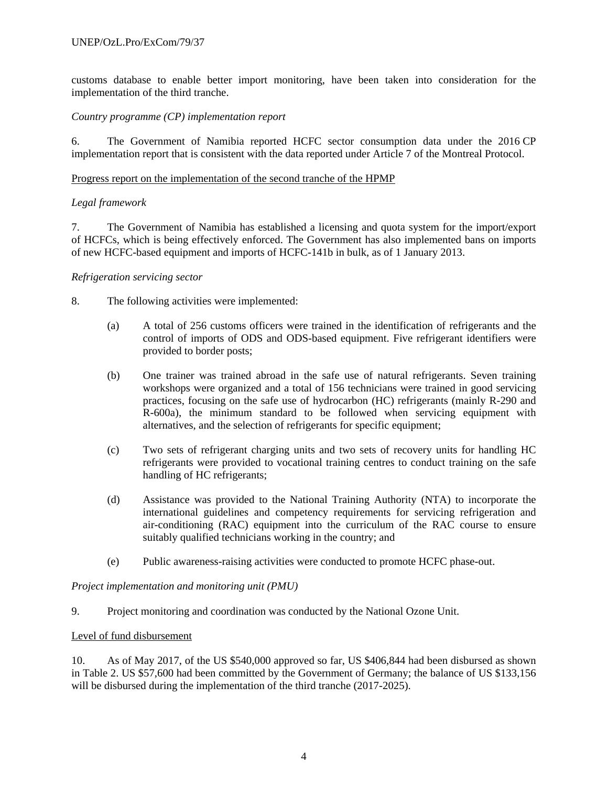customs database to enable better import monitoring, have been taken into consideration for the implementation of the third tranche.

#### *Country programme (CP) implementation report*

6. The Government of Namibia reported HCFC sector consumption data under the 2016 CP implementation report that is consistent with the data reported under Article 7 of the Montreal Protocol.

#### Progress report on the implementation of the second tranche of the HPMP

#### *Legal framework*

7. The Government of Namibia has established a licensing and quota system for the import/export of HCFCs, which is being effectively enforced. The Government has also implemented bans on imports of new HCFC-based equipment and imports of HCFC-141b in bulk, as of 1 January 2013.

#### *Refrigeration servicing sector*

- 8. The following activities were implemented:
	- (a) A total of 256 customs officers were trained in the identification of refrigerants and the control of imports of ODS and ODS-based equipment. Five refrigerant identifiers were provided to border posts;
	- (b) One trainer was trained abroad in the safe use of natural refrigerants. Seven training workshops were organized and a total of 156 technicians were trained in good servicing practices, focusing on the safe use of hydrocarbon (HC) refrigerants (mainly R-290 and R-600a), the minimum standard to be followed when servicing equipment with alternatives, and the selection of refrigerants for specific equipment;
	- (c) Two sets of refrigerant charging units and two sets of recovery units for handling HC refrigerants were provided to vocational training centres to conduct training on the safe handling of HC refrigerants;
	- (d) Assistance was provided to the National Training Authority (NTA) to incorporate the international guidelines and competency requirements for servicing refrigeration and air-conditioning (RAC) equipment into the curriculum of the RAC course to ensure suitably qualified technicians working in the country; and
	- (e) Public awareness-raising activities were conducted to promote HCFC phase-out.

*Project implementation and monitoring unit (PMU)* 

9. Project monitoring and coordination was conducted by the National Ozone Unit.

#### Level of fund disbursement

10. As of May 2017, of the US \$540,000 approved so far, US \$406,844 had been disbursed as shown in Table 2. US \$57,600 had been committed by the Government of Germany; the balance of US \$133,156 will be disbursed during the implementation of the third tranche (2017-2025).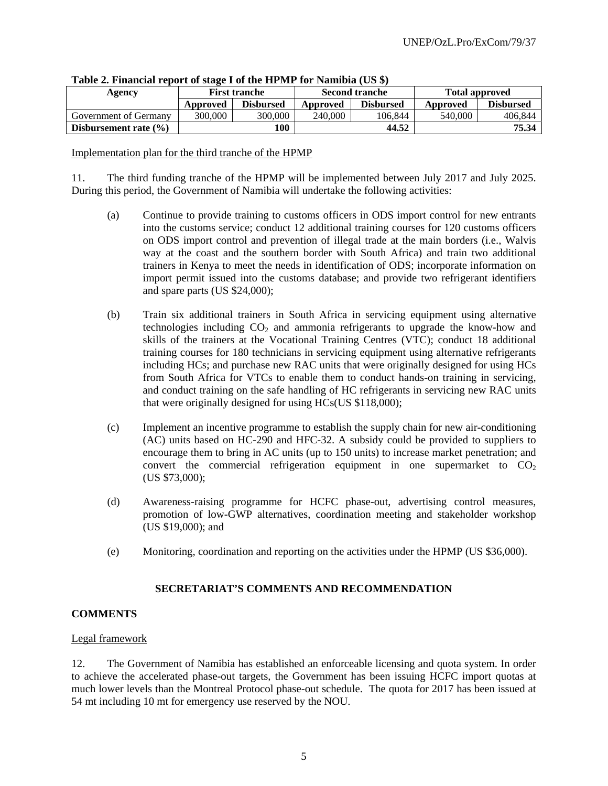| Agency                    |                              | <b>First tranche</b> |          | <b>Second tranche</b> | <b>Total approved</b> |                  |  |
|---------------------------|------------------------------|----------------------|----------|-----------------------|-----------------------|------------------|--|
|                           | <b>Disbursed</b><br>Approved |                      | Approved | <b>Disbursed</b>      | Approved              | <b>Disbursed</b> |  |
| Government of Germany     | 300.000                      | 300.000              | 240,000  | 106.844               | 540,000               | 406.844          |  |
| Disbursement rate $(\% )$ |                              | 100                  |          | 44.52                 |                       | 75.34            |  |

**Table 2. Financial report of stage I of the HPMP for Namibia (US \$)** 

Implementation plan for the third tranche of the HPMP

11. The third funding tranche of the HPMP will be implemented between July 2017 and July 2025. During this period, the Government of Namibia will undertake the following activities:

- (a) Continue to provide training to customs officers in ODS import control for new entrants into the customs service; conduct 12 additional training courses for 120 customs officers on ODS import control and prevention of illegal trade at the main borders (i.e., Walvis way at the coast and the southern border with South Africa) and train two additional trainers in Kenya to meet the needs in identification of ODS; incorporate information on import permit issued into the customs database; and provide two refrigerant identifiers and spare parts (US \$24,000);
- (b) Train six additional trainers in South Africa in servicing equipment using alternative technologies including  $CO<sub>2</sub>$  and ammonia refrigerants to upgrade the know-how and skills of the trainers at the Vocational Training Centres (VTC); conduct 18 additional training courses for 180 technicians in servicing equipment using alternative refrigerants including HCs; and purchase new RAC units that were originally designed for using HCs from South Africa for VTCs to enable them to conduct hands-on training in servicing, and conduct training on the safe handling of HC refrigerants in servicing new RAC units that were originally designed for using HCs(US \$118,000);
- (c) Implement an incentive programme to establish the supply chain for new air-conditioning (AC) units based on HC-290 and HFC-32. A subsidy could be provided to suppliers to encourage them to bring in AC units (up to 150 units) to increase market penetration; and convert the commercial refrigeration equipment in one supermarket to  $CO<sub>2</sub>$ (US \$73,000);
- (d) Awareness-raising programme for HCFC phase-out, advertising control measures, promotion of low-GWP alternatives, coordination meeting and stakeholder workshop (US \$19,000); and
- (e) Monitoring, coordination and reporting on the activities under the HPMP (US \$36,000).

## **SECRETARIAT'S COMMENTS AND RECOMMENDATION**

#### **COMMENTS**

#### Legal framework

12. The Government of Namibia has established an enforceable licensing and quota system. In order to achieve the accelerated phase-out targets, the Government has been issuing HCFC import quotas at much lower levels than the Montreal Protocol phase-out schedule. The quota for 2017 has been issued at 54 mt including 10 mt for emergency use reserved by the NOU.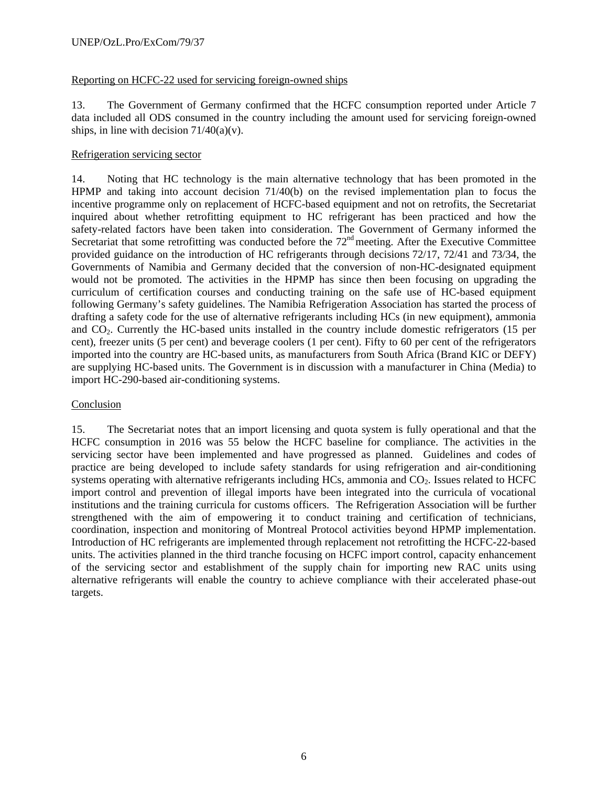## Reporting on HCFC-22 used for servicing foreign-owned ships

13. The Government of Germany confirmed that the HCFC consumption reported under Article 7 data included all ODS consumed in the country including the amount used for servicing foreign-owned ships, in line with decision  $71/40(a)(v)$ .

#### Refrigeration servicing sector

14. Noting that HC technology is the main alternative technology that has been promoted in the HPMP and taking into account decision 71/40(b) on the revised implementation plan to focus the incentive programme only on replacement of HCFC-based equipment and not on retrofits, the Secretariat inquired about whether retrofitting equipment to HC refrigerant has been practiced and how the safety-related factors have been taken into consideration. The Government of Germany informed the Secretariat that some retrofitting was conducted before the 72<sup>nd</sup> meeting. After the Executive Committee provided guidance on the introduction of HC refrigerants through decisions 72/17, 72/41 and 73/34, the Governments of Namibia and Germany decided that the conversion of non-HC-designated equipment would not be promoted. The activities in the HPMP has since then been focusing on upgrading the curriculum of certification courses and conducting training on the safe use of HC-based equipment following Germany's safety guidelines. The Namibia Refrigeration Association has started the process of drafting a safety code for the use of alternative refrigerants including HCs (in new equipment), ammonia and CO2. Currently the HC-based units installed in the country include domestic refrigerators (15 per cent), freezer units (5 per cent) and beverage coolers (1 per cent). Fifty to 60 per cent of the refrigerators imported into the country are HC-based units, as manufacturers from South Africa (Brand KIC or DEFY) are supplying HC-based units. The Government is in discussion with a manufacturer in China (Media) to import HC-290-based air-conditioning systems.

#### **Conclusion**

15. The Secretariat notes that an import licensing and quota system is fully operational and that the HCFC consumption in 2016 was 55 below the HCFC baseline for compliance. The activities in the servicing sector have been implemented and have progressed as planned. Guidelines and codes of practice are being developed to include safety standards for using refrigeration and air-conditioning systems operating with alternative refrigerants including HCs, ammonia and CO<sub>2</sub>. Issues related to HCFC import control and prevention of illegal imports have been integrated into the curricula of vocational institutions and the training curricula for customs officers. The Refrigeration Association will be further strengthened with the aim of empowering it to conduct training and certification of technicians, coordination, inspection and monitoring of Montreal Protocol activities beyond HPMP implementation. Introduction of HC refrigerants are implemented through replacement not retrofitting the HCFC-22-based units. The activities planned in the third tranche focusing on HCFC import control, capacity enhancement of the servicing sector and establishment of the supply chain for importing new RAC units using alternative refrigerants will enable the country to achieve compliance with their accelerated phase-out targets.